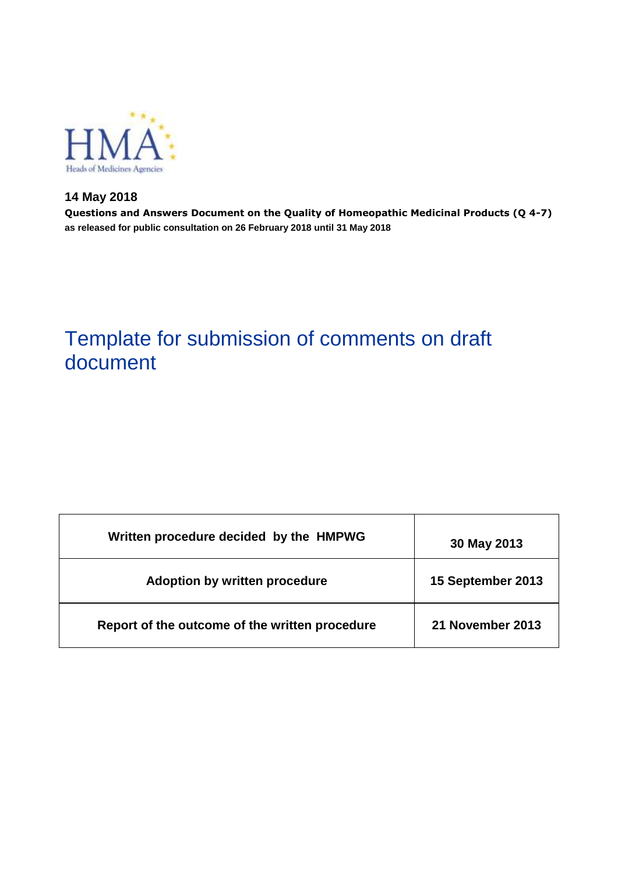

**14 May 2018 Questions and Answers Document on the Quality of Homeopathic Medicinal Products (Q 4-7) as released for public consultation on 26 February 2018 until 31 May 2018**

# Template for submission of comments on draft document

| Written procedure decided by the HMPWG         | 30 May 2013       |
|------------------------------------------------|-------------------|
| <b>Adoption by written procedure</b>           | 15 September 2013 |
| Report of the outcome of the written procedure | 21 November 2013  |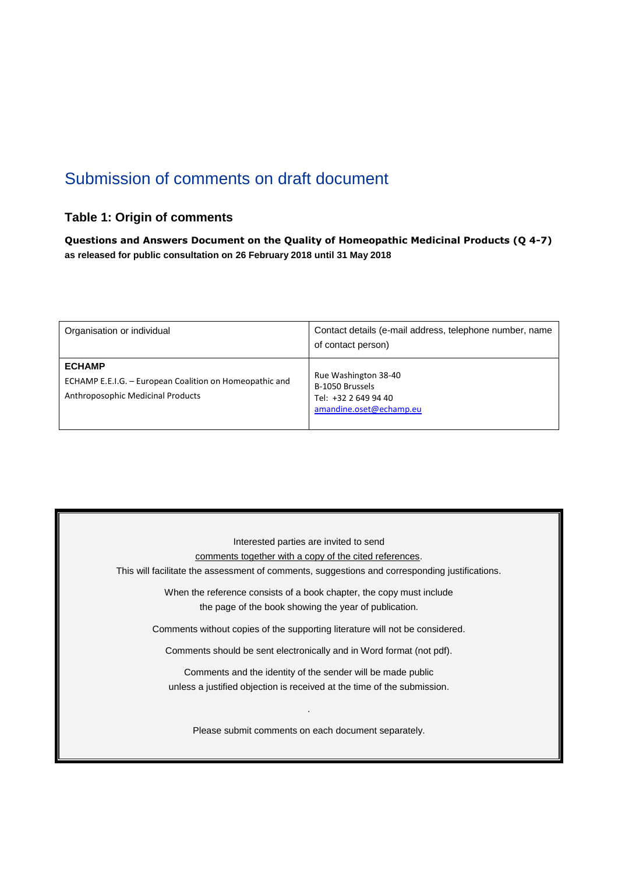# Submission of comments on draft document

### **Table 1: Origin of comments**

**Questions and Answers Document on the Quality of Homeopathic Medicinal Products (Q 4-7) as released for public consultation on 26 February 2018 until 31 May 2018**

| Organisation or individual                                                                                    | Contact details (e-mail address, telephone number, name<br>of contact person)              |
|---------------------------------------------------------------------------------------------------------------|--------------------------------------------------------------------------------------------|
| <b>ECHAMP</b><br>ECHAMP E.E.I.G. - European Coalition on Homeopathic and<br>Anthroposophic Medicinal Products | Rue Washington 38-40<br>B-1050 Brussels<br>Tel: +32 2 649 94 40<br>amandine.oset@echamp.eu |

Interested parties are invited to send comments together with a copy of the cited references. This will facilitate the assessment of comments, suggestions and corresponding justifications. When the reference consists of a book chapter, the copy must include the page of the book showing the year of publication. Comments without copies of the supporting literature will not be considered. Comments should be sent electronically and in Word format (not pdf). Comments and the identity of the sender will be made public unless a justified objection is received at the time of the submission. . Please submit comments on each document separately.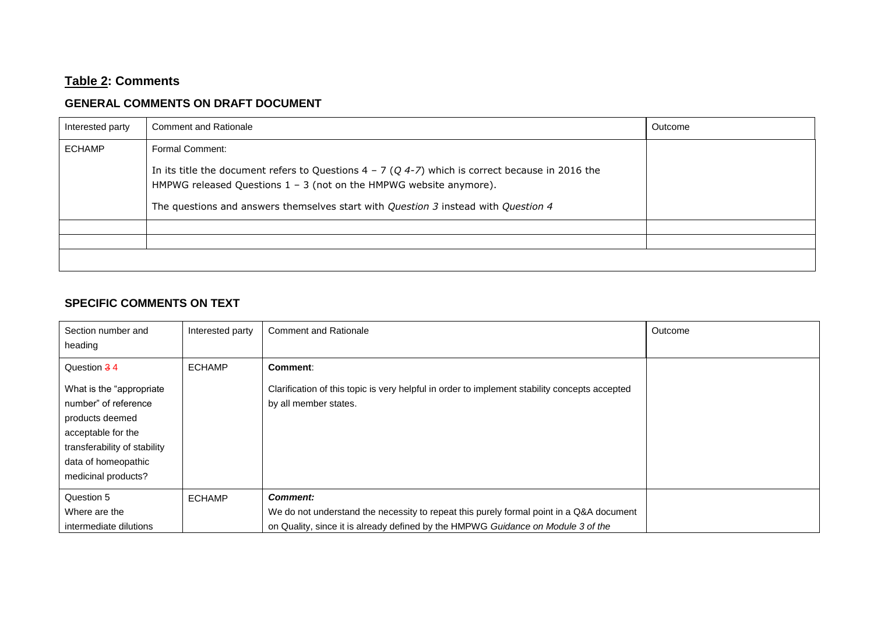# **Table 2: Comments**

## **GENERAL COMMENTS ON DRAFT DOCUMENT**

| Interested party | <b>Comment and Rationale</b>                                                                                                                                                 | Outcome |
|------------------|------------------------------------------------------------------------------------------------------------------------------------------------------------------------------|---------|
| <b>ECHAMP</b>    | Formal Comment:                                                                                                                                                              |         |
|                  | In its title the document refers to Questions $4 - 7 (Q 4 - 7)$ which is correct because in 2016 the<br>HMPWG released Questions $1 - 3$ (not on the HMPWG website anymore). |         |
|                  | The questions and answers themselves start with Question 3 instead with Question 4                                                                                           |         |
|                  |                                                                                                                                                                              |         |
|                  |                                                                                                                                                                              |         |
|                  |                                                                                                                                                                              |         |

#### **SPECIFIC COMMENTS ON TEXT**

| Section number and<br>heading                                                                                                                                            | Interested party | <b>Comment and Rationale</b>                                                                                                                                                                   | Outcome |
|--------------------------------------------------------------------------------------------------------------------------------------------------------------------------|------------------|------------------------------------------------------------------------------------------------------------------------------------------------------------------------------------------------|---------|
| Question 34                                                                                                                                                              | <b>ECHAMP</b>    | Comment:                                                                                                                                                                                       |         |
| What is the "appropriate"<br>number" of reference<br>products deemed<br>acceptable for the<br>transferability of stability<br>data of homeopathic<br>medicinal products? |                  | Clarification of this topic is very helpful in order to implement stability concepts accepted<br>by all member states.                                                                         |         |
| Question 5<br>Where are the<br>intermediate dilutions                                                                                                                    | <b>ECHAMP</b>    | <b>Comment:</b><br>We do not understand the necessity to repeat this purely formal point in a Q&A document<br>on Quality, since it is already defined by the HMPWG Guidance on Module 3 of the |         |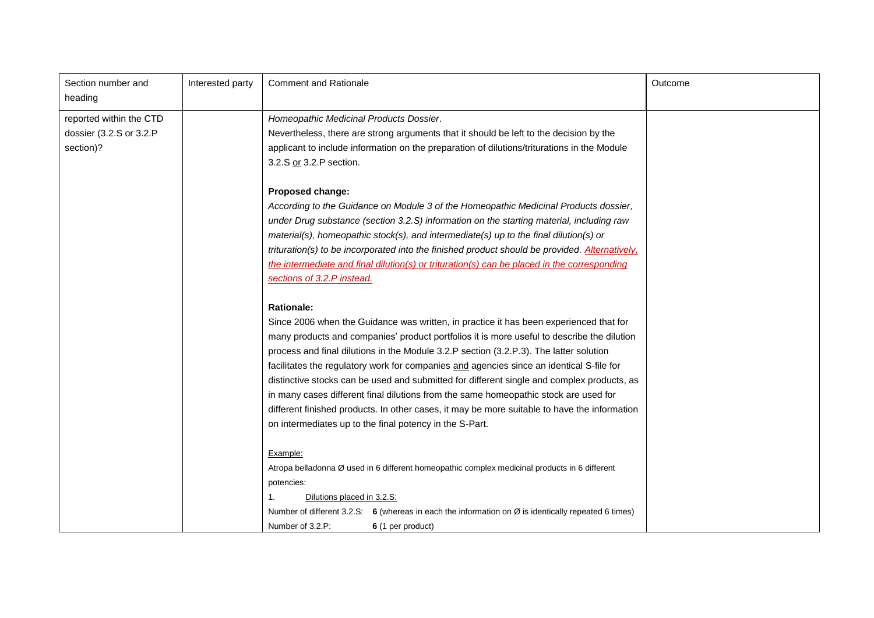| Section number and<br>heading | Interested party | <b>Comment and Rationale</b>                                                                                    | Outcome |
|-------------------------------|------------------|-----------------------------------------------------------------------------------------------------------------|---------|
| reported within the CTD       |                  | Homeopathic Medicinal Products Dossier.                                                                         |         |
| dossier (3.2.S or 3.2.P       |                  | Nevertheless, there are strong arguments that it should be left to the decision by the                          |         |
| section)?                     |                  | applicant to include information on the preparation of dilutions/triturations in the Module                     |         |
|                               |                  | 3.2.S or 3.2.P section.                                                                                         |         |
|                               |                  | Proposed change:                                                                                                |         |
|                               |                  | According to the Guidance on Module 3 of the Homeopathic Medicinal Products dossier,                            |         |
|                               |                  | under Drug substance (section 3.2.S) information on the starting material, including raw                        |         |
|                               |                  | material(s), homeopathic stock(s), and intermediate(s) up to the final dilution(s) or                           |         |
|                               |                  | trituration(s) to be incorporated into the finished product should be provided. Alternatively,                  |         |
|                               |                  | the intermediate and final dilution(s) or trituration(s) can be placed in the corresponding                     |         |
|                               |                  | sections of 3.2.P instead.                                                                                      |         |
|                               |                  |                                                                                                                 |         |
|                               |                  | <b>Rationale:</b>                                                                                               |         |
|                               |                  | Since 2006 when the Guidance was written, in practice it has been experienced that for                          |         |
|                               |                  | many products and companies' product portfolios it is more useful to describe the dilution                      |         |
|                               |                  | process and final dilutions in the Module 3.2.P section (3.2.P.3). The latter solution                          |         |
|                               |                  | facilitates the regulatory work for companies and agencies since an identical S-file for                        |         |
|                               |                  | distinctive stocks can be used and submitted for different single and complex products, as                      |         |
|                               |                  | in many cases different final dilutions from the same homeopathic stock are used for                            |         |
|                               |                  | different finished products. In other cases, it may be more suitable to have the information                    |         |
|                               |                  | on intermediates up to the final potency in the S-Part.                                                         |         |
|                               |                  | Example:                                                                                                        |         |
|                               |                  | Atropa belladonna Ø used in 6 different homeopathic complex medicinal products in 6 different                   |         |
|                               |                  | potencies:                                                                                                      |         |
|                               |                  | 1.<br>Dilutions placed in 3.2.S:                                                                                |         |
|                               |                  | Number of different 3.2.S: 6 (whereas in each the information on $\varnothing$ is identically repeated 6 times) |         |
|                               |                  | Number of 3.2.P:<br>6 (1 per product)                                                                           |         |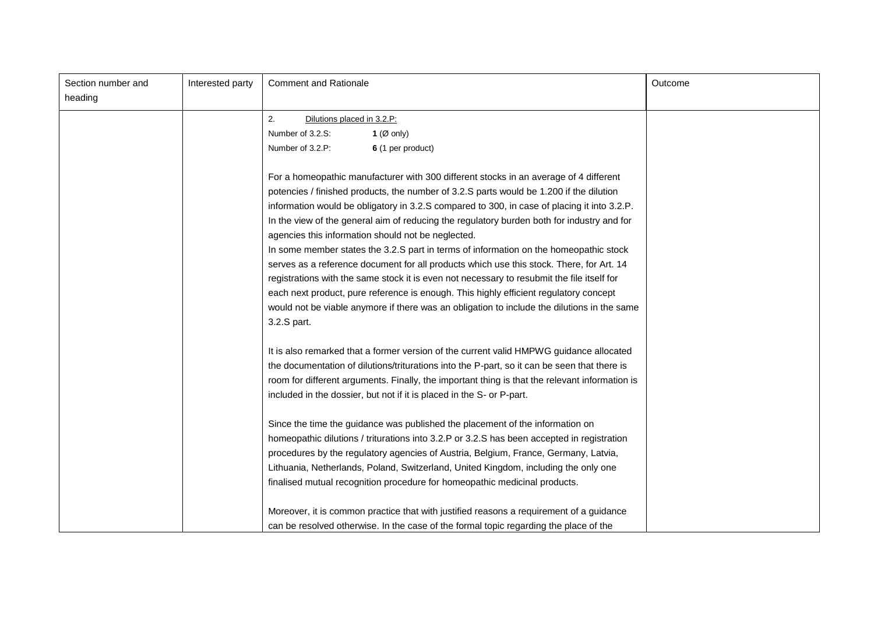| Section number and<br>heading | Interested party | <b>Comment and Rationale</b>                                                                   | Outcome |
|-------------------------------|------------------|------------------------------------------------------------------------------------------------|---------|
|                               |                  |                                                                                                |         |
|                               |                  | 2.<br>Dilutions placed in 3.2.P:                                                               |         |
|                               |                  | Number of 3.2.S:<br>1 ( $\varnothing$ only)                                                    |         |
|                               |                  | Number of 3.2.P:<br>6 (1 per product)                                                          |         |
|                               |                  | For a homeopathic manufacturer with 300 different stocks in an average of 4 different          |         |
|                               |                  | potencies / finished products, the number of 3.2.S parts would be 1.200 if the dilution        |         |
|                               |                  | information would be obligatory in 3.2.S compared to 300, in case of placing it into 3.2.P.    |         |
|                               |                  | In the view of the general aim of reducing the regulatory burden both for industry and for     |         |
|                               |                  | agencies this information should not be neglected.                                             |         |
|                               |                  | In some member states the 3.2.S part in terms of information on the homeopathic stock          |         |
|                               |                  | serves as a reference document for all products which use this stock. There, for Art. 14       |         |
|                               |                  | registrations with the same stock it is even not necessary to resubmit the file itself for     |         |
|                               |                  | each next product, pure reference is enough. This highly efficient regulatory concept          |         |
|                               |                  | would not be viable anymore if there was an obligation to include the dilutions in the same    |         |
|                               |                  | 3.2.S part.                                                                                    |         |
|                               |                  | It is also remarked that a former version of the current valid HMPWG guidance allocated        |         |
|                               |                  | the documentation of dilutions/triturations into the P-part, so it can be seen that there is   |         |
|                               |                  | room for different arguments. Finally, the important thing is that the relevant information is |         |
|                               |                  | included in the dossier, but not if it is placed in the S- or P-part.                          |         |
|                               |                  | Since the time the guidance was published the placement of the information on                  |         |
|                               |                  | homeopathic dilutions / triturations into 3.2.P or 3.2.S has been accepted in registration     |         |
|                               |                  | procedures by the regulatory agencies of Austria, Belgium, France, Germany, Latvia,            |         |
|                               |                  | Lithuania, Netherlands, Poland, Switzerland, United Kingdom, including the only one            |         |
|                               |                  | finalised mutual recognition procedure for homeopathic medicinal products.                     |         |
|                               |                  | Moreover, it is common practice that with justified reasons a requirement of a guidance        |         |
|                               |                  | can be resolved otherwise. In the case of the formal topic regarding the place of the          |         |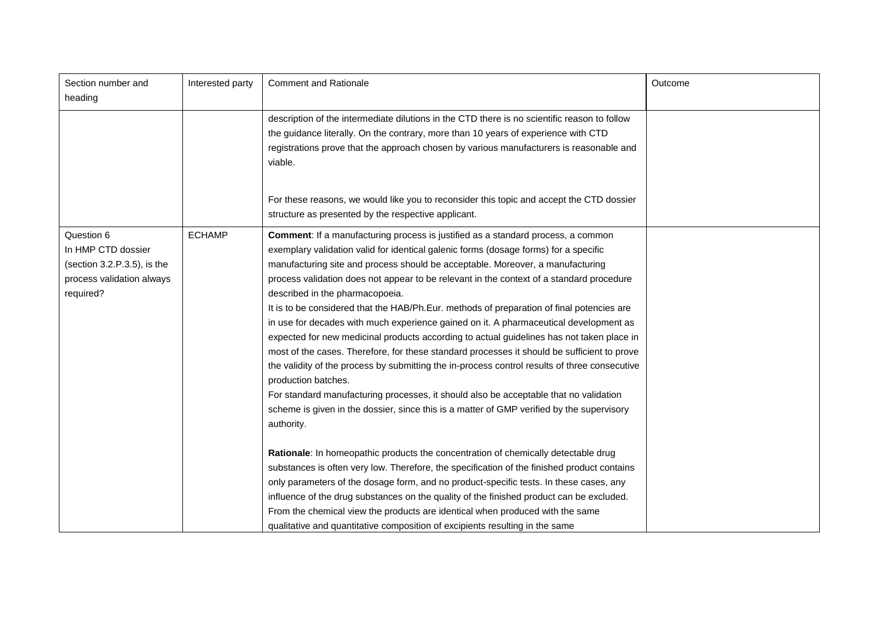| Section number and<br>heading                                                                                | Interested party | <b>Comment and Rationale</b>                                                                                                                                                                                                                                                                                                                                                                                                                                                                                                                                                                                                                                                                                                                                                                                                                                                                                                                                                                                                                                                                                   | Outcome |
|--------------------------------------------------------------------------------------------------------------|------------------|----------------------------------------------------------------------------------------------------------------------------------------------------------------------------------------------------------------------------------------------------------------------------------------------------------------------------------------------------------------------------------------------------------------------------------------------------------------------------------------------------------------------------------------------------------------------------------------------------------------------------------------------------------------------------------------------------------------------------------------------------------------------------------------------------------------------------------------------------------------------------------------------------------------------------------------------------------------------------------------------------------------------------------------------------------------------------------------------------------------|---------|
|                                                                                                              |                  | description of the intermediate dilutions in the CTD there is no scientific reason to follow<br>the guidance literally. On the contrary, more than 10 years of experience with CTD<br>registrations prove that the approach chosen by various manufacturers is reasonable and<br>viable.                                                                                                                                                                                                                                                                                                                                                                                                                                                                                                                                                                                                                                                                                                                                                                                                                       |         |
|                                                                                                              |                  | For these reasons, we would like you to reconsider this topic and accept the CTD dossier<br>structure as presented by the respective applicant.                                                                                                                                                                                                                                                                                                                                                                                                                                                                                                                                                                                                                                                                                                                                                                                                                                                                                                                                                                |         |
| Question 6<br>In HMP CTD dossier<br>(section $3.2.P.3.5$ ), is the<br>process validation always<br>required? | <b>ECHAMP</b>    | <b>Comment:</b> If a manufacturing process is justified as a standard process, a common<br>exemplary validation valid for identical galenic forms (dosage forms) for a specific<br>manufacturing site and process should be acceptable. Moreover, a manufacturing<br>process validation does not appear to be relevant in the context of a standard procedure<br>described in the pharmacopoeia.<br>It is to be considered that the HAB/Ph.Eur. methods of preparation of final potencies are<br>in use for decades with much experience gained on it. A pharmaceutical development as<br>expected for new medicinal products according to actual guidelines has not taken place in<br>most of the cases. Therefore, for these standard processes it should be sufficient to prove<br>the validity of the process by submitting the in-process control results of three consecutive<br>production batches.<br>For standard manufacturing processes, it should also be acceptable that no validation<br>scheme is given in the dossier, since this is a matter of GMP verified by the supervisory<br>authority. |         |
|                                                                                                              |                  | <b>Rationale:</b> In homeopathic products the concentration of chemically detectable drug<br>substances is often very low. Therefore, the specification of the finished product contains<br>only parameters of the dosage form, and no product-specific tests. In these cases, any<br>influence of the drug substances on the quality of the finished product can be excluded.<br>From the chemical view the products are identical when produced with the same<br>qualitative and quantitative composition of excipients resulting in the same                                                                                                                                                                                                                                                                                                                                                                                                                                                                                                                                                                |         |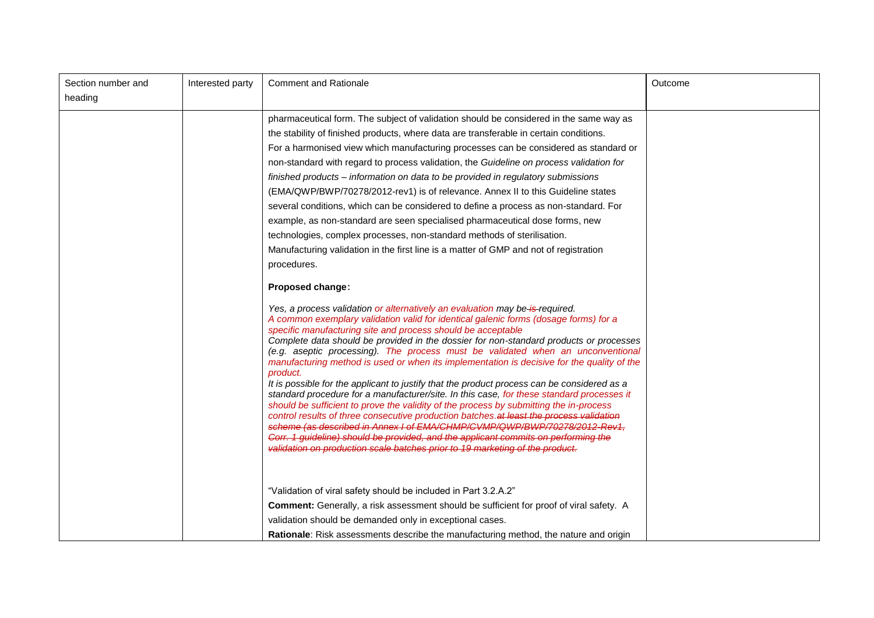| Section number and<br>heading | Interested party | <b>Comment and Rationale</b>                                                                                                                                                                                                                                                                                                                                                                                                                                                                                                                                                                                                                                                                                                                                                                                                                                                                                                                                                                                                                                                                                                                                                                                                                                        | Outcome |
|-------------------------------|------------------|---------------------------------------------------------------------------------------------------------------------------------------------------------------------------------------------------------------------------------------------------------------------------------------------------------------------------------------------------------------------------------------------------------------------------------------------------------------------------------------------------------------------------------------------------------------------------------------------------------------------------------------------------------------------------------------------------------------------------------------------------------------------------------------------------------------------------------------------------------------------------------------------------------------------------------------------------------------------------------------------------------------------------------------------------------------------------------------------------------------------------------------------------------------------------------------------------------------------------------------------------------------------|---------|
|                               |                  | pharmaceutical form. The subject of validation should be considered in the same way as<br>the stability of finished products, where data are transferable in certain conditions.<br>For a harmonised view which manufacturing processes can be considered as standard or<br>non-standard with regard to process validation, the Guideline on process validation for<br>finished products - information on data to be provided in regulatory submissions<br>(EMA/QWP/BWP/70278/2012-rev1) is of relevance. Annex II to this Guideline states<br>several conditions, which can be considered to define a process as non-standard. For<br>example, as non-standard are seen specialised pharmaceutical dose forms, new<br>technologies, complex processes, non-standard methods of sterilisation.<br>Manufacturing validation in the first line is a matter of GMP and not of registration<br>procedures.<br><b>Proposed change:</b><br>Yes, a process validation or alternatively an evaluation may be is required.<br>A common exemplary validation valid for identical galenic forms (dosage forms) for a<br>specific manufacturing site and process should be acceptable<br>Complete data should be provided in the dossier for non-standard products or processes |         |
|                               |                  | (e.g. aseptic processing). The process must be validated when an unconventional<br>manufacturing method is used or when its implementation is decisive for the quality of the<br>product.<br>It is possible for the applicant to justify that the product process can be considered as a<br>standard procedure for a manufacturer/site. In this case, for these standard processes it<br>should be sufficient to prove the validity of the process by submitting the in-process<br>control results of three consecutive production batches. at least the process validation<br>scheme (as described in Annex I of EMA/CHMP/CVMP/QWP/BWP/70278/2012-Rev1.<br>Corr. 1 guideline) should be provided, and the applicant commits on performing the<br>validation on production scale batches prior to 19 marketing of the product.<br>"Validation of viral safety should be included in Part 3.2.A.2"<br>Comment: Generally, a risk assessment should be sufficient for proof of viral safety. A<br>validation should be demanded only in exceptional cases.                                                                                                                                                                                                            |         |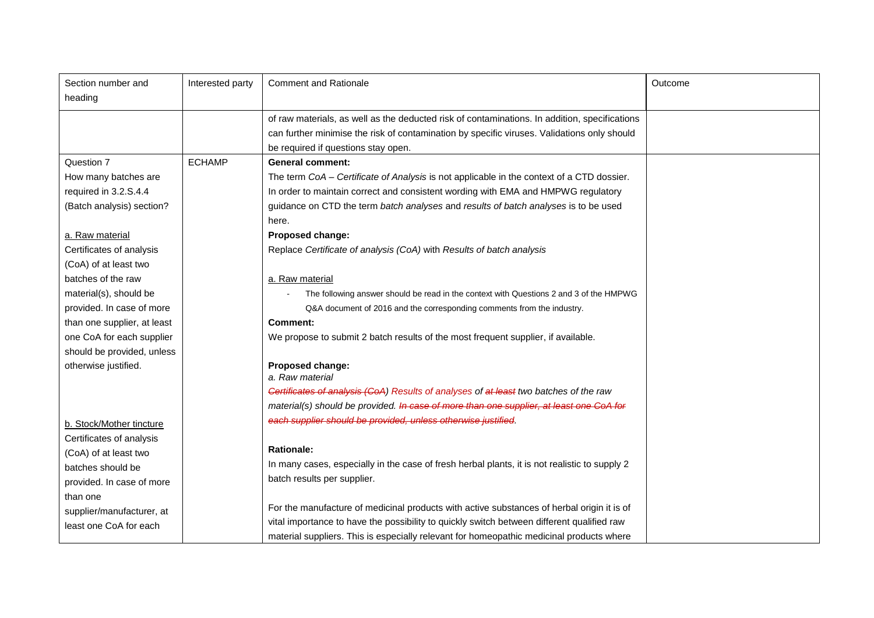| Section number and          | Interested party | <b>Comment and Rationale</b>                                                                  | Outcome |
|-----------------------------|------------------|-----------------------------------------------------------------------------------------------|---------|
| heading                     |                  |                                                                                               |         |
|                             |                  | of raw materials, as well as the deducted risk of contaminations. In addition, specifications |         |
|                             |                  | can further minimise the risk of contamination by specific viruses. Validations only should   |         |
|                             |                  | be required if questions stay open.                                                           |         |
| Question 7                  | <b>ECHAMP</b>    | <b>General comment:</b>                                                                       |         |
| How many batches are        |                  | The term CoA - Certificate of Analysis is not applicable in the context of a CTD dossier.     |         |
| required in 3.2.S.4.4       |                  | In order to maintain correct and consistent wording with EMA and HMPWG regulatory             |         |
| (Batch analysis) section?   |                  | guidance on CTD the term batch analyses and results of batch analyses is to be used           |         |
|                             |                  | here.                                                                                         |         |
| a. Raw material             |                  | Proposed change:                                                                              |         |
| Certificates of analysis    |                  | Replace Certificate of analysis (CoA) with Results of batch analysis                          |         |
| (CoA) of at least two       |                  |                                                                                               |         |
| batches of the raw          |                  | a. Raw material                                                                               |         |
| material(s), should be      |                  | The following answer should be read in the context with Questions 2 and 3 of the HMPWG        |         |
| provided. In case of more   |                  | Q&A document of 2016 and the corresponding comments from the industry.                        |         |
| than one supplier, at least |                  | <b>Comment:</b>                                                                               |         |
| one CoA for each supplier   |                  | We propose to submit 2 batch results of the most frequent supplier, if available.             |         |
| should be provided, unless  |                  |                                                                                               |         |
| otherwise justified.        |                  | Proposed change:                                                                              |         |
|                             |                  | a. Raw material                                                                               |         |
|                             |                  | Cortificates of analysis (CoA) Results of analyses of at least two batches of the raw         |         |
|                             |                  | material(s) should be provided. In case of more than one supplier, at least one CoA for       |         |
| b. Stock/Mother tincture    |                  | each supplier should be provided, unless otherwise justified.                                 |         |
| Certificates of analysis    |                  |                                                                                               |         |
| (CoA) of at least two       |                  | <b>Rationale:</b>                                                                             |         |
| batches should be           |                  | In many cases, especially in the case of fresh herbal plants, it is not realistic to supply 2 |         |
| provided. In case of more   |                  | batch results per supplier.                                                                   |         |
| than one                    |                  |                                                                                               |         |
| supplier/manufacturer, at   |                  | For the manufacture of medicinal products with active substances of herbal origin it is of    |         |
| least one CoA for each      |                  | vital importance to have the possibility to quickly switch between different qualified raw    |         |
|                             |                  | material suppliers. This is especially relevant for homeopathic medicinal products where      |         |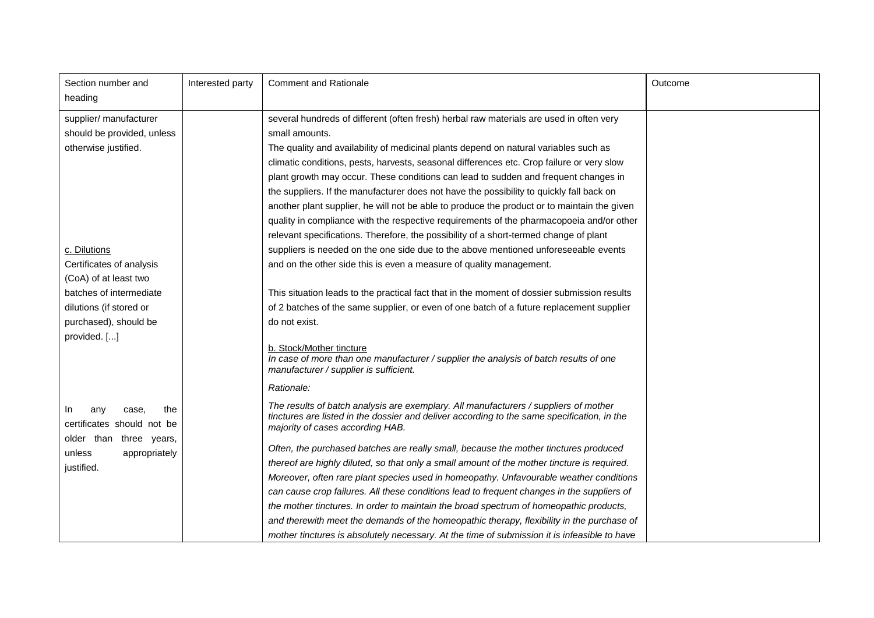| Section number and<br>heading                                                                                                | Interested party | <b>Comment and Rationale</b>                                                                                                                                                                                                                                                                                                                                                                                                                                                                                                                                                                                                                                                                                                                                                                                | Outcome |
|------------------------------------------------------------------------------------------------------------------------------|------------------|-------------------------------------------------------------------------------------------------------------------------------------------------------------------------------------------------------------------------------------------------------------------------------------------------------------------------------------------------------------------------------------------------------------------------------------------------------------------------------------------------------------------------------------------------------------------------------------------------------------------------------------------------------------------------------------------------------------------------------------------------------------------------------------------------------------|---------|
| supplier/ manufacturer<br>should be provided, unless<br>otherwise justified.                                                 |                  | several hundreds of different (often fresh) herbal raw materials are used in often very<br>small amounts.<br>The quality and availability of medicinal plants depend on natural variables such as<br>climatic conditions, pests, harvests, seasonal differences etc. Crop failure or very slow<br>plant growth may occur. These conditions can lead to sudden and frequent changes in<br>the suppliers. If the manufacturer does not have the possibility to quickly fall back on<br>another plant supplier, he will not be able to produce the product or to maintain the given<br>quality in compliance with the respective requirements of the pharmacopoeia and/or other<br>relevant specifications. Therefore, the possibility of a short-termed change of plant                                       |         |
| c. Dilutions                                                                                                                 |                  | suppliers is needed on the one side due to the above mentioned unforeseeable events                                                                                                                                                                                                                                                                                                                                                                                                                                                                                                                                                                                                                                                                                                                         |         |
| Certificates of analysis                                                                                                     |                  | and on the other side this is even a measure of quality management.                                                                                                                                                                                                                                                                                                                                                                                                                                                                                                                                                                                                                                                                                                                                         |         |
| (CoA) of at least two                                                                                                        |                  |                                                                                                                                                                                                                                                                                                                                                                                                                                                                                                                                                                                                                                                                                                                                                                                                             |         |
| batches of intermediate                                                                                                      |                  | This situation leads to the practical fact that in the moment of dossier submission results                                                                                                                                                                                                                                                                                                                                                                                                                                                                                                                                                                                                                                                                                                                 |         |
| dilutions (if stored or                                                                                                      |                  | of 2 batches of the same supplier, or even of one batch of a future replacement supplier                                                                                                                                                                                                                                                                                                                                                                                                                                                                                                                                                                                                                                                                                                                    |         |
| purchased), should be                                                                                                        |                  | do not exist.                                                                                                                                                                                                                                                                                                                                                                                                                                                                                                                                                                                                                                                                                                                                                                                               |         |
| provided. []                                                                                                                 |                  | b. Stock/Mother tincture<br>In case of more than one manufacturer / supplier the analysis of batch results of one<br>manufacturer / supplier is sufficient.                                                                                                                                                                                                                                                                                                                                                                                                                                                                                                                                                                                                                                                 |         |
| the<br>any<br>case,<br>In.<br>certificates should not be<br>older than three years,<br>unless<br>appropriately<br>justified. |                  | Rationale:<br>The results of batch analysis are exemplary. All manufacturers / suppliers of mother<br>tinctures are listed in the dossier and deliver according to the same specification, in the<br>majority of cases according HAB.<br>Often, the purchased batches are really small, because the mother tinctures produced<br>thereof are highly diluted, so that only a small amount of the mother tincture is required.<br>Moreover, often rare plant species used in homeopathy. Unfavourable weather conditions<br>can cause crop failures. All these conditions lead to frequent changes in the suppliers of<br>the mother tinctures. In order to maintain the broad spectrum of homeopathic products,<br>and therewith meet the demands of the homeopathic therapy, flexibility in the purchase of |         |
|                                                                                                                              |                  | mother tinctures is absolutely necessary. At the time of submission it is infeasible to have                                                                                                                                                                                                                                                                                                                                                                                                                                                                                                                                                                                                                                                                                                                |         |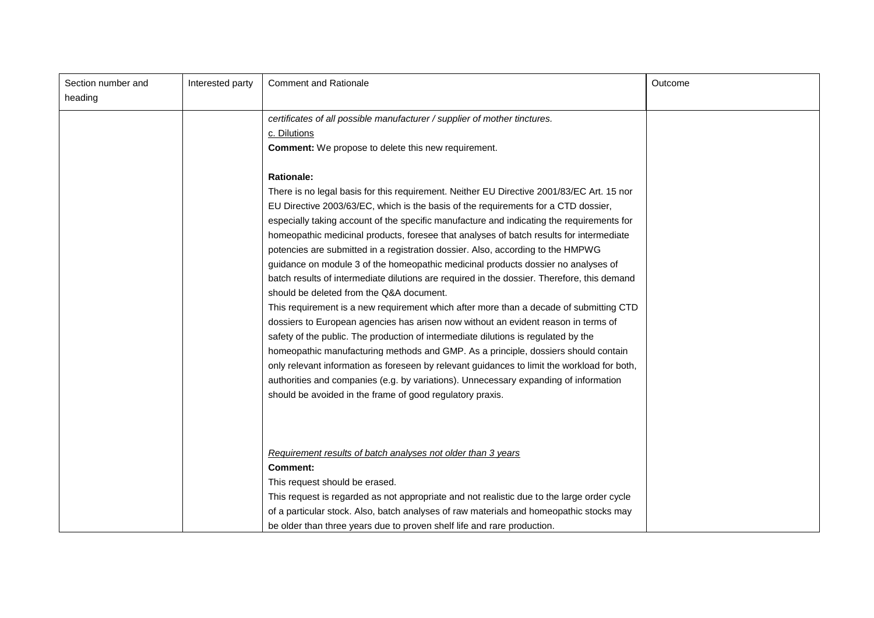| Section number and<br>heading | Interested party | <b>Comment and Rationale</b>                                                                                                                                                                                                                                                                                                                                                                                                                                                                                                                                                                                                                                                                                                                                                                                                                                                                                                                                                                                                                                                                                                                                                                                                                                                                                                                                                                                                                                                               | Outcome |
|-------------------------------|------------------|--------------------------------------------------------------------------------------------------------------------------------------------------------------------------------------------------------------------------------------------------------------------------------------------------------------------------------------------------------------------------------------------------------------------------------------------------------------------------------------------------------------------------------------------------------------------------------------------------------------------------------------------------------------------------------------------------------------------------------------------------------------------------------------------------------------------------------------------------------------------------------------------------------------------------------------------------------------------------------------------------------------------------------------------------------------------------------------------------------------------------------------------------------------------------------------------------------------------------------------------------------------------------------------------------------------------------------------------------------------------------------------------------------------------------------------------------------------------------------------------|---------|
|                               |                  | certificates of all possible manufacturer / supplier of mother tinctures.<br>c. Dilutions<br><b>Comment:</b> We propose to delete this new requirement.<br><b>Rationale:</b><br>There is no legal basis for this requirement. Neither EU Directive 2001/83/EC Art. 15 nor<br>EU Directive 2003/63/EC, which is the basis of the requirements for a CTD dossier,<br>especially taking account of the specific manufacture and indicating the requirements for<br>homeopathic medicinal products, foresee that analyses of batch results for intermediate<br>potencies are submitted in a registration dossier. Also, according to the HMPWG<br>guidance on module 3 of the homeopathic medicinal products dossier no analyses of<br>batch results of intermediate dilutions are required in the dossier. Therefore, this demand<br>should be deleted from the Q&A document.<br>This requirement is a new requirement which after more than a decade of submitting CTD<br>dossiers to European agencies has arisen now without an evident reason in terms of<br>safety of the public. The production of intermediate dilutions is regulated by the<br>homeopathic manufacturing methods and GMP. As a principle, dossiers should contain<br>only relevant information as foreseen by relevant guidances to limit the workload for both,<br>authorities and companies (e.g. by variations). Unnecessary expanding of information<br>should be avoided in the frame of good regulatory praxis. |         |
|                               |                  | Requirement results of batch analyses not older than 3 years<br><b>Comment:</b><br>This request should be erased.<br>This request is regarded as not appropriate and not realistic due to the large order cycle<br>of a particular stock. Also, batch analyses of raw materials and homeopathic stocks may<br>be older than three years due to proven shelf life and rare production.                                                                                                                                                                                                                                                                                                                                                                                                                                                                                                                                                                                                                                                                                                                                                                                                                                                                                                                                                                                                                                                                                                      |         |